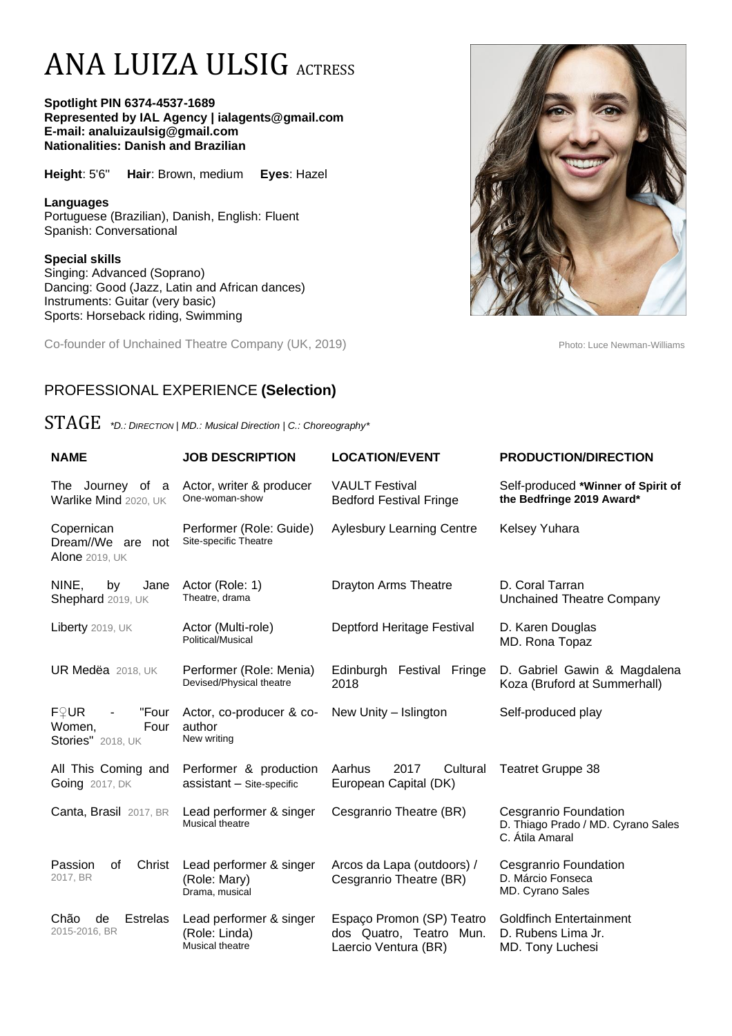# ANA LUIZA ULSIG ACTRESS

**Spotlight PIN 6374-4537-1689 Represented by IAL Agency | ialagents@gmail.com E-mail: analuizaulsig@gmail.com Nationalities: Danish and Brazilian**

**Height**: 5'6'' **Hair**: Brown, medium **Eyes**: Hazel

**Languages**  Portuguese (Brazilian), Danish, English: Fluent Spanish: Conversational

#### **Special skills**

Singing: Advanced (Soprano) Dancing: Good (Jazz, Latin and African dances) Instruments: Guitar (very basic) Sports: Horseback riding, Swimming

Co-founder of Unchained Theatre Company (UK, 2019) Photo: Luce Newman-Williams



### PROFESSIONAL EXPERIENCE **(Selection)**

STAGE *\*D.: <sup>D</sup>IRECTION <sup>|</sup> MD.: Musical Direction | C.: Choreography\**

| <b>NAME</b>                                                 | <b>JOB DESCRIPTION</b>                                      | <b>LOCATION/EVENT</b>                                                           | <b>PRODUCTION/DIRECTION</b>                                                    |
|-------------------------------------------------------------|-------------------------------------------------------------|---------------------------------------------------------------------------------|--------------------------------------------------------------------------------|
| The Journey of a<br>Warlike Mind 2020, UK                   | Actor, writer & producer<br>One-woman-show                  | <b>VAULT Festival</b><br><b>Bedford Festival Fringe</b>                         | Self-produced *Winner of Spirit of<br>the Bedfringe 2019 Award*                |
| Copernican<br>Dream//We are<br>not<br><b>Alone 2019, UK</b> | Performer (Role: Guide)<br>Site-specific Theatre            | <b>Aylesbury Learning Centre</b>                                                | Kelsey Yuhara                                                                  |
| NINE,<br>by<br>Jane<br>Shephard 2019, UK                    | Actor (Role: 1)<br>Theatre, drama                           | Drayton Arms Theatre                                                            | D. Coral Tarran<br><b>Unchained Theatre Company</b>                            |
| Liberty 2019, UK                                            | Actor (Multi-role)<br>Political/Musical                     | Deptford Heritage Festival                                                      | D. Karen Douglas<br>MD. Rona Topaz                                             |
| UR Medëa 2018, UK                                           | Performer (Role: Menia)<br>Devised/Physical theatre         | Edinburgh Festival Fringe<br>2018                                               | D. Gabriel Gawin & Magdalena<br>Koza (Bruford at Summerhall)                   |
| F♀UR<br>"Four<br>Women,<br>Four<br><b>Stories"</b> 2018, UK | Actor, co-producer & co-<br>author<br>New writing           | New Unity - Islington                                                           | Self-produced play                                                             |
| All This Coming and<br><b>Going</b> 2017, DK                | Performer & production<br>assistant - Site-specific         | Aarhus<br>2017<br>Cultural<br>European Capital (DK)                             | <b>Teatret Gruppe 38</b>                                                       |
| Canta, Brasil 2017, BR                                      | Lead performer & singer<br>Musical theatre                  | Cesgranrio Theatre (BR)                                                         | Cesgranrio Foundation<br>D. Thiago Prado / MD. Cyrano Sales<br>C. Átila Amaral |
| Passion<br>οf<br>Christ<br>2017, BR                         | Lead performer & singer<br>(Role: Mary)<br>Drama, musical   | Arcos da Lapa (outdoors) /<br>Cesgranrio Theatre (BR)                           | Cesgranrio Foundation<br>D. Márcio Fonseca<br>MD. Cyrano Sales                 |
| Chão<br>de<br>Estrelas<br>2015-2016, BR                     | Lead performer & singer<br>(Role: Linda)<br>Musical theatre | Espaço Promon (SP) Teatro<br>dos Quatro, Teatro<br>Mun.<br>Laercio Ventura (BR) | <b>Goldfinch Entertainment</b><br>D. Rubens Lima Jr.<br>MD. Tony Luchesi       |